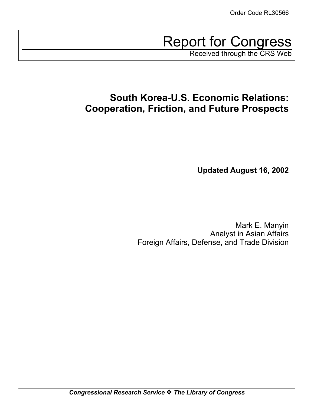Report for Congress Received through the CRS Web

**South Korea-U.S. Economic Relations: Cooperation, Friction, and Future Prospects**

**Updated August 16, 2002**

Mark E. Manyin Analyst in Asian Affairs Foreign Affairs, Defense, and Trade Division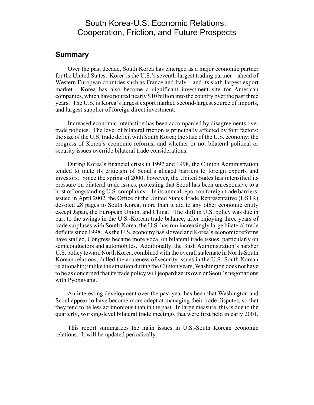### South Korea-U.S. Economic Relations: Cooperation, Friction, and Future Prospects

#### **Summary**

Over the past decade, South Korea has emerged as a major economic partner for the United States. Korea is the U.S.'s seventh-largest trading partner – ahead of Western European countries such as France and Italy – and its sixth-largest export market. Korea has also become a significant investment site for American companies, which have poured nearly \$10 billion into the country over the past three years. The U.S. is Korea's largest export market, second-largest source of imports, and largest supplier of foreign direct investment.

Increased economic interaction has been accompanied by disagreements over trade policies. The level of bilateral friction is principally affected by four factors: the size of the U.S. trade deficit with South Korea; the state of the U.S. economy; the progress of Korea's economic reforms; and whether or not bilateral political or security issues override bilateral trade considerations.

During Korea's financial crisis in 1997 and 1998, the Clinton Administration tended to mute its criticism of Seoul's alleged barriers to foreign exports and investors. Since the spring of 2000, however, the United States has intensified its pressure on bilateral trade issues, protesting that Seoul has been unresponsive to a host of longstanding U.S. complaints. In its annual report on foreign trade barriers, issued in April 2002, the Office of the United States Trade Representative (USTR) devoted 28 pages to South Korea, more than it did to any other economic entity except Japan, the European Union, and China. The shift in U.S. policy was due in part to the swings in the U.S.-Korean trade balance; after enjoying three years of trade surpluses with South Korea, the U.S. has run increasingly large bilateral trade deficits since 1998. As the U.S. economy has slowed and Korea's economic reforms have stalled, Congress became more vocal on bilateral trade issues, particularly on semiconductors and automobiles. Additionally, the Bush Administration's harsher U.S. policy toward North Korea, combined with the overall stalemate in North-South Korean relations, dulled the acuteness of security issues in the U.S.-South Korean relationship; unlike the situation during the Clinton years, Washington does not have to be as concerned that its trade policy will jeopardize its own or Seoul's negotiations with Pyongyang.

An interesting development over the past year has been that Washington and Seoul appear to have become more adept at managing their trade disputes, so that they tend to be less acrimonious than in the past. In large measure, this is due to the quarterly, working-level bilateral trade meetings that were first held in early 2001.

This report summarizes the main issues in U.S.-South Korean economic relations. It will be updated periodically.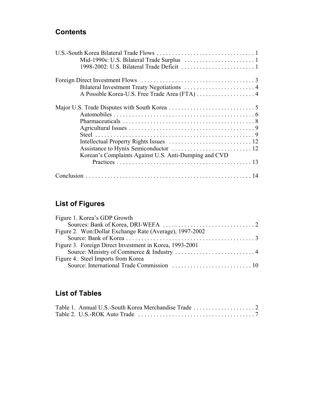## **Contents**

| A Possible Korea-U.S. Free Trade Area (FTA) 4         |  |
|-------------------------------------------------------|--|
|                                                       |  |
|                                                       |  |
|                                                       |  |
|                                                       |  |
|                                                       |  |
|                                                       |  |
|                                                       |  |
| Korean's Complaints Against U.S. Anti-Dumping and CVD |  |
|                                                       |  |
|                                                       |  |

# **List of Figures**

| Figure 1. Korea's GDP Growth                             |  |
|----------------------------------------------------------|--|
|                                                          |  |
| Figure 2. Won: Dollar Exchange Rate (Average), 1997-2002 |  |
|                                                          |  |
| Figure 3. Foreign Direct Investment in Korea, 1993-2001  |  |
|                                                          |  |
| Figure 4. Steel Imports from Korea                       |  |
|                                                          |  |

## **List of Tables**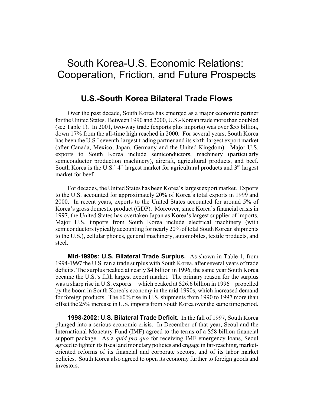## South Korea-U.S. Economic Relations: Cooperation, Friction, and Future Prospects

### **U.S.-South Korea Bilateral Trade Flows**

Over the past decade, South Korea has emerged as a major economic partner for the United States. Between 1990 and 2000, U.S.-Korean trade more than doubled (see Table 1). In 2001, two-way trade (exports plus imports) was over \$55 billion, down 17% from the all-time high reached in 2000. For several years, South Korea has been the U.S.' seventh-largest trading partner and its sixth-largest export market (after Canada, Mexico, Japan, Germany and the United Kingdom). Major U.S. exports to South Korea include semiconductors, machinery (particularly semiconductor production machinery), aircraft, agricultural products, and beef. South Korea is the U.S.'  $4<sup>th</sup>$  largest market for agricultural products and  $3<sup>rd</sup>$  largest market for beef

For decades, the United States has been Korea's largest export market. Exports to the U.S. accounted for approximately 20% of Korea's total exports in 1999 and 2000. In recent years, exports to the United States accounted for around 5% of Korea's gross domestic product (GDP). Moreover, since Korea's financial crisis in 1997, the United States has overtaken Japan as Korea's largest supplier of imports. Major U.S. imports from South Korea include electrical machinery (with semiconductors typically accounting for nearly 20% of total South Korean shipments to the U.S.), cellular phones, general machinery, automobiles, textile products, and steel.

**Mid-1990s: U.S. Bilateral Trade Surplus.** As shown in Table 1, from 1994-1997 the U.S. ran a trade surplus with South Korea, after several years of trade deficits. The surplus peaked at nearly \$4 billion in 1996, the same year South Korea became the U.S.'s fifth largest export market. The primary reason for the surplus was a sharp rise in U.S. exports – which peaked at \$26.6 billion in 1996 – propelled by the boom in South Korea's economy in the mid-1990s, which increased demand for foreign products. The 60% rise in U.S. shipments from 1990 to 1997 more than offset the 25% increase in U.S. imports from South Korea over the same time period.

**1998-2002: U.S. Bilateral Trade Deficit.** In the fall of 1997, South Korea plunged into a serious economic crisis. In December of that year, Seoul and the International Monetary Fund (IMF) agreed to the terms of a \$58 billion financial support package. As a *quid pro quo* for receiving IMF emergency loans, Seoul agreed to tighten its fiscal and monetary policies and engage in far-reaching, marketoriented reforms of its financial and corporate sectors, and of its labor market policies. South Korea also agreed to open its economy further to foreign goods and investors.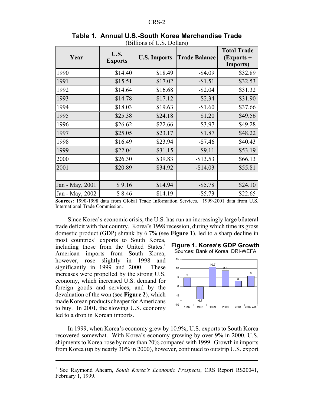| Year            | U.S.<br><b>Exports</b> | $\mu$ D <sub>I</sub> III <sub>O</sub> II <sub>I</sub> I <sub>D</sub> O <sub>I</sub> O <sub>I</sub> <sub>O</sub> I <sub>I</sub> <sub>O</sub><br><b>U.S. Imports</b> | <b>Trade Balance</b> | <b>Total Trade</b><br>(Exports +<br><b>Imports</b> ) |
|-----------------|------------------------|--------------------------------------------------------------------------------------------------------------------------------------------------------------------|----------------------|------------------------------------------------------|
| 1990            | \$14.40                | \$18.49                                                                                                                                                            | $-$ \$4.09           | \$32.89                                              |
| 1991            | \$15.51                | \$17.02                                                                                                                                                            | $-$1.51$             | \$32.53                                              |
| 1992            | \$14.64                | \$16.68                                                                                                                                                            | $-$ \$2.04           | \$31.32                                              |
| 1993            | \$14.78                | \$17.12                                                                                                                                                            | $-$ \$2.34           | \$31.90                                              |
| 1994            | \$18.03                | \$19.63                                                                                                                                                            | $-$1.60$             | \$37.66                                              |
| 1995            | \$25.38                | \$24.18                                                                                                                                                            | \$1.20               | \$49.56                                              |
| 1996            | \$26.62                | \$22.66                                                                                                                                                            | \$3.97               | \$49.28                                              |
| 1997            | \$25.05                | \$23.17                                                                                                                                                            | \$1.87               | \$48.22                                              |
| 1998            | \$16.49                | \$23.94                                                                                                                                                            | $-$7.46$             | \$40.43                                              |
| 1999            | \$22.04                | \$31.15                                                                                                                                                            | $-$ \$9.11           | \$53.19                                              |
| 2000            | \$26.30                | \$39.83                                                                                                                                                            | $-$ \$13.53          | \$66.13                                              |
| 2001            | \$20.89                | \$34.92                                                                                                                                                            | $-$14.03$            | \$55.81                                              |
|                 |                        |                                                                                                                                                                    |                      |                                                      |
| Jan - May, 2001 | \$9.16                 | \$14.94                                                                                                                                                            | $-$ \$5.78           | \$24.10                                              |
| Jan - May, 2002 | \$8.46                 | \$14.19                                                                                                                                                            | $-$ \$5.73           | \$22.65                                              |

**Table 1. Annual U.S.-South Korea Merchandise Trade** (Billions of U.S. Dollars)

**Sources:** 1990-1998 data from Global Trade Information Services. 1999-2001 data from U.S. International Trade Commission.

Since Korea's economic crisis, the U.S. has run an increasingly large bilateral trade deficit with that country. Korea's 1998 recession, during which time its gross domestic product (GDP) shrank by 6.7% (see **Figure 1**), led to a sharp decline in

most countries' exports to South Korea, including those from the United States.<sup>1</sup> American imports from South Korea, however, rose slightly in 1998 and significantly in 1999 and 2000. These increases were propelled by the strong U.S. economy, which increased U.S. demand for foreign goods and services, and by the devaluation of the won (see **Figure 2**), which made Korean products cheaper for Americans to buy. In 2001, the slowing U.S. economy led to a drop in Korean imports.

**Figure 1. Korea's GDP Growth** Sources: Bank of Korea, DRI-WEFA



In 1999, when Korea's economy grew by 10.9%, U.S. exports to South Korea recovered somewhat. With Korea's economy growing by over 9% in 2000, U.S. shipments to Korea rose by more than 20% compared with 1999. Growth in imports from Korea (up by nearly 30% in 2000), however, continued to outstrip U.S. export

<sup>&</sup>lt;sup>1</sup> See Raymond Ahearn, *South Korea's Economic Prospects*, CRS Report RS20041, February 1, 1999.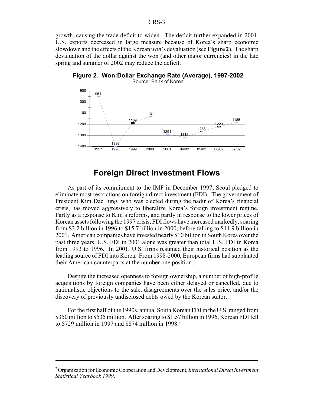growth, causing the trade deficit to widen. The deficit further expanded in 2001. U.S. exports decreased in large measure because of Korea's sharp economic slowdown and the effects of the Korean *won*'s devaluation (see **Figure 2**). The sharp devaluation of the dollar against the won (and other major currencies) in the late spring and summer of 2002 may reduce the deficit.



**Figure 2. Won:Dollar Exchange Rate (Average), 1997-2002** Source: Bank of Korea

### **Foreign Direct Investment Flows**

As part of its commitment to the IMF in December 1997, Seoul pledged to eliminate most restrictions on foreign direct investment (FDI). The government of President Kim Dae Jung, who was elected during the nadir of Korea's financial crisis, has moved aggressively to liberalize Korea's foreign investment regime. Partly as a response to Kim's reforms, and partly in response to the lower prices of Korean assets following the 1997 crisis, FDI flows have increased markedly, soaring from \$3.2 billion in 1996 to \$15.7 billion in 2000, before falling to \$11.9 billion in 2001. American companies have invested nearly \$10 billion in South Korea over the past three years. U.S. FDI in 2001 alone was greater than total U.S. FDI in Korea from 1993 to 1996. In 2001, U.S. firms resumed their historical position as the leading source of FDI into Korea. From 1998-2000, European firms had supplanted their American counterparts at the number one position.

Despite the increased openness to foreign ownership, a number of high-profile acquisitions by foreign companies have been either delayed or cancelled, due to nationalistic objections to the sale, disagreements over the sales price, and/or the discovery of previously undisclosed debts owed by the Korean suitor.

For the first half of the 1990s, annual South Korean FDI in the U.S. ranged from \$350 million to \$535 million. After soaring to \$1.57 billion in 1996, Korean FDI fell to \$729 million in 1997 and \$874 million in 1998.<sup>2</sup>

<sup>2</sup> Organization for Economic Cooperation and Development, *International Direct Investment Statistical Yearbook 1999*.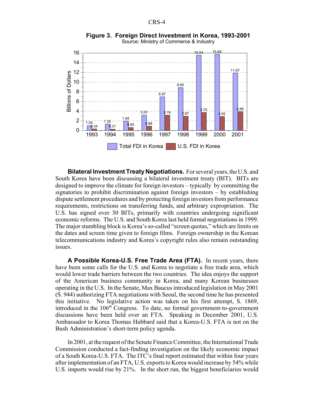

**Figure 3. Foreign Direct Investment in Korea, 1993-2001** Source: Ministry of Commerce & Industry

**Bilateral Investment Treaty Negotiations.** For several years, the U.S. and South Korea have been discussing a bilateral investment treaty (BIT). BITs are designed to improve the climate for foreign investors – typically by committing the signatories to prohibit discrimination against foreign investors – by establishing dispute settlement procedures and by protecting foreign investors from performance requirements, restrictions on transferring funds, and arbitrary expropriation. The U.S. has signed over 30 BITs, primarily with countries undergoing significant economic reforms. The U.S. and South Korea last held formal negotiations in 1999. The major stumbling block is Korea's so-called "screen quotas," which are limits on the dates and screen time given to foreign films. Foreign ownership in the Korean telecommunications industry and Korea's copyright rules also remain outstanding issues.

**A Possible Korea-U.S. Free Trade Area (FTA).** In recent years, there have been some calls for the U.S. and Korea to negotiate a free trade area, which would lower trade barriers between the two countries. The idea enjoys the support of the American business community in Korea, and many Korean businesses operating in the U.S. In the Senate, Max Baucus introduced legislation in May 2001 (S. 944) authorizing FTA negotiations with Seoul, the second time he has presented this initiative. No legislative action was taken on his first attempt, S. 1869, introduced in the  $106<sup>th</sup>$  Congress. To date, no formal government-to-government discussions have been held over an FTA. Speaking in December 2001, U.S. Ambassador to Korea Thomas Hubbard said that a Korea-U.S. FTA is not on the Bush Administration's short-term policy agenda.

In 2001, at the request of the Senate Finance Committee, the International Trade Commission conducted a fact-finding investigation on the likely economic impact of a South Korea-U.S. FTA. The ITC's final report estimated that within four years after implementation of an FTA, U.S. exports to Korea would increase by 54% while U.S. imports would rise by 21%. In the short run, the biggest beneficiaries would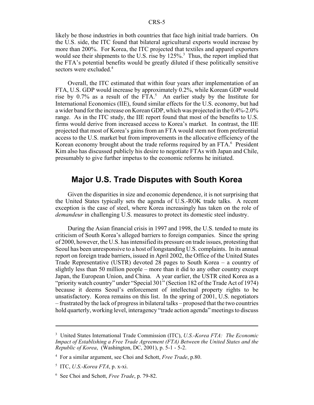likely be those industries in both countries that face high initial trade barriers. On the U.S. side, the ITC found that bilateral agricultural exports would increase by more than 200%. For Korea, the ITC projected that textiles and apparel exporters would see their shipments to the U.S. rise by  $125\%$ <sup>3</sup>. Thus, the report implied that the FTA's potential benefits would be greatly diluted if these politically sensitive sectors were excluded.<sup>4</sup>

Overall, the ITC estimated that within four years after implementation of an FTA, U.S. GDP would increase by approximately 0.2%, while Korean GDP would rise by 0.7% as a result of the FTA.<sup>5</sup> An earlier study by the Institute for International Economics (IIE), found similar effects for the U.S. economy, but had a wider band for the increase on Korean GDP, which was projected in the 0.4%-2.0% range. As in the ITC study, the IIE report found that most of the benefits to U.S. firms would derive from increased access to Korea's market. In contrast, the IIE projected that most of Korea's gains from an FTA would stem not from preferential access to the U.S. market but from improvements in the allocative efficiency of the Korean economy brought about the trade reforms required by an FTA.<sup>6</sup> President Kim also has discussed publicly his desire to negotiate FTAs with Japan and Chile, presumably to give further impetus to the economic reforms he initiated.

### **Major U.S. Trade Disputes with South Korea**

Given the disparities in size and economic dependence, it is not surprising that the United States typically sets the agenda of U.S.-ROK trade talks. A recent exception is the case of steel, where Korea increasingly has taken on the role of *demandeur* in challenging U.S. measures to protect its domestic steel industry.

During the Asian financial crisis in 1997 and 1998, the U.S. tended to mute its criticism of South Korea's alleged barriers to foreign companies. Since the spring of 2000, however, the U.S. has intensified its pressure on trade issues, protesting that Seoul has been unresponsive to a host of longstanding U.S. complaints. In its annual report on foreign trade barriers, issued in April 2002, the Office of the United States Trade Representative (USTR) devoted 28 pages to South Korea – a country of slightly less than 50 million people – more than it did to any other country except Japan, the European Union, and China. A year earlier, the USTR cited Korea as a "priority watch country" under "Special 301" (Section 182 of the Trade Act of 1974) because it deems Seoul's enforcement of intellectual property rights to be unsatisfactory. Korea remains on this list. In the spring of 2001, U.S. negotiators – frustrated by the lack of progress in bilateral talks – proposed that the two countries hold quarterly, working level, interagency "trade action agenda" meetings to discuss

<sup>3</sup> United States International Trade Commission (ITC), *U.S.-Korea FTA: The Economic Impact of Establishing a Free Trade Agreement (FTA) Between the United States and the Republic of Korea*, (Washington, DC, 2001), p. 5-1 - 5-2.

<sup>4</sup> For a similar argument, see Choi and Schott, *Free Trade*, p.80.

<sup>5</sup> ITC, *U.S.-Korea FTA*, p. x-xi.

<sup>6</sup> See Choi and Schott, *Free Trade*, p. 79-82.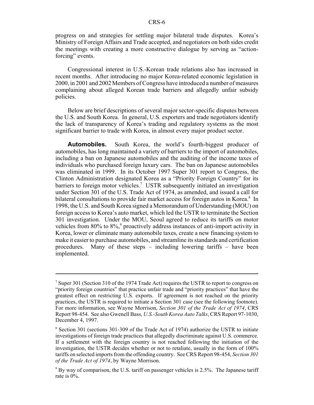progress on and strategies for settling major bilateral trade disputes. Korea's Ministry of Foreign Affairs and Trade accepted, and negotiators on both sides credit the meetings with creating a more constructive dialogue by serving as "actionforcing" events.

Congressional interest in U.S.-Korean trade relations also has increased in recent months. After introducing no major Korea-related economic legislation in 2000, in 2001 and 2002 Members of Congress have introduced a number of measures complaining about alleged Korean trade barriers and allegedly unfair subsidy policies.

Below are brief descriptions of several major sector-specific disputes between the U.S. and South Korea. In general, U.S. exporters and trade negotiators identify the lack of transparency of Korea's trading and regulatory systems as the most significant barrier to trade with Korea, in almost every major product sector.

**Automobiles.** South Korea, the world's fourth-biggest producer of automobiles, has long maintained a variety of barriers to the import of automobiles, including a ban on Japanese automobiles and the auditing of the income taxes of individuals who purchased foreign luxury cars. The ban on Japanese automobiles was eliminated in 1999. In its October 1997 Super 301 report to Congress, the Clinton Administration designated Korea as a "Priority Foreign Country" for its barriers to foreign motor vehicles.<sup>7</sup> USTR subsequently initiated an investigation under Section 301 of the U.S. Trade Act of 1974, as amended, and issued a call for bilateral consultations to provide fair market access for foreign autos in Korea.<sup>8</sup> In 1998, the U.S. and South Korea signed a Memorandum of Understanding (MOU) on foreign access to Korea's auto market, which led the USTR to terminate the Section 301 investigation. Under the MOU, Seoul agreed to reduce its tariffs on motor vehicles from  $80\%$  to  $8\%$ ,<sup>9</sup> proactively address instances of anti-import activity in Korea, lower or eliminate many automobile taxes, create a new financing system to make it easier to purchase automobiles, and streamline its standards and certification procedures. Many of these steps – including lowering tariffs – have been implemented.

<sup>&</sup>lt;sup>7</sup> Super 301 (Section 310 of the 1974 Trade Act) requires the USTR to report to congress on "priority foreign countries" that practice unfair trade and "priority practices" that have the greatest effect on restricting U.S. exports. If agreement is not reached on the priority practices, the USTR is required to initiate a Section 301 case (see the following footnote). For more information, see Wayne Morrison, *Section 301 of the Trade Act of 1974*, CRS Report 98-454. See also Gwenell Bass, *U.S.-South Korea Auto Talks*, CRS Report 97-1030, December 4, 1997.

<sup>&</sup>lt;sup>8</sup> Section 301 (sections 301-309 of the Trade Act of 1974) authorize the USTR to initiate investigations of foreign trade practices that allegedly discriminate against U.S. commerce. If a settlement with the foreign country is not reached following the initiation of the investigation, the USTR decides whether or not to retaliate, usually in the form of 100% tariffs on selected imports from the offending country. See CRS Report 98-454, *Section 301 of the Trade Act of 1974*, by Wayne Morrison.

 $9^9$  By way of comparison, the U.S. tariff on passenger vehicles is 2.5%. The Japanese tariff rate is 0%.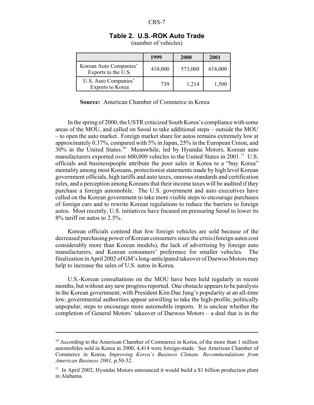**Table 2. U.S.-ROK Auto Trade**

| (number of vehicles) |  |
|----------------------|--|
|                      |  |

|                                               | 1999    | <b>2000</b> | 2001    |
|-----------------------------------------------|---------|-------------|---------|
| Korean Auto Companies'<br>Exports to the U.S. | 410,000 | 573,000     | 618,000 |
| U.S. Auto Companies'<br>Exports to Korea      | 739     | 1,214       | 1,500   |

**Source:** American Chamber of Commerce in Korea

In the spring of 2000, the USTR criticized South Korea's compliance with some areas of the MOU, and called on Seoul to take additional steps – outside the MOU – to open the auto market. Foreign market share for autos remains extremely low at approximately 0.37%, compared with 5% in Japan, 25% in the European Union, and  $30\%$  in the United States.<sup>10</sup> Meanwhile, led by Hyundai Motors, Korean auto manufacturers exported over  $600,000$  vehicles to the United States in  $2001$ <sup>11</sup> U.S. officials and businesspeople attribute the poor sales in Korea to a "buy Korea" mentality among most Koreans, protectionist statements made by high level Korean government officials, high tariffs and auto taxes, onerous standards and certification rules, and a perception among Koreans that their income taxes will be audited if they purchase a foreign automobile. The U.S. government and auto executives have called on the Korean government to take more visible steps to encourage purchases of foreign cars and to rewrite Korean regulations to reduce the barriers to foreign autos. Most recently, U.S. initiatives have focused on pressuring Seoul to lower its 8% tariff on autos to 2.5%.

Korean officials contend that few foreign vehicles are sold because of the decreased purchasing power of Korean consumers since the crisis (foreign autos cost considerably more than Korean models), the lack of advertising by foreign auto manufacturers, and Korean consumers' preference for smaller vehicles. The finalization in April 2002 of GM's long-anticipated takeover of Daewoo Motors may help to increase the sales of U.S. autos in Korea.

U.S.-Korean consultations on the MOU have been held regularly in recent months, but without any new progress reported. One obstacle appears to be paralysis in the Korean government; with President Kim Dae Jung's popularity at an all-time low, governmental authorities appear unwilling to take the high-profile, politically unpopular, steps to encourage more automobile imports. It is unclear whether the completion of General Motors' takeover of Daewoo Motors – a deal that is in the

<sup>&</sup>lt;sup>10</sup> According to the American Chamber of Commerce in Korea, of the more than 1 million automobiles sold in Korea in 2000, 4,414 were foreign-made. See American Chamber of Commerce in Korea, *Improving Korea's Business Climate. Recommendations from American Business 2001*, p.50-52.

 $11$  In April 2002, Hyundai Motors announced it would build a \$1 billion production plant in Alabama.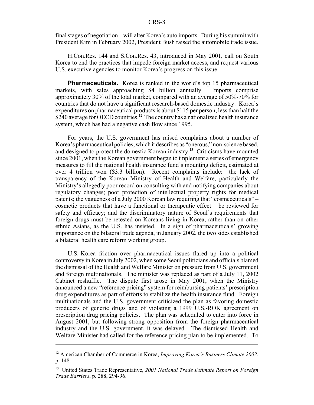final stages of negotiation – will alter Korea's auto imports. During his summit with President Kim in February 2002, President Bush raised the automobile trade issue.

H.Con.Res. 144 and S.Con.Res. 43, introduced in May 2001, call on South Korea to end the practices that impede foreign market access, and request various U.S. executive agencies to monitor Korea's progress on this issue.

**Pharmaceuticals.** Korea is ranked in the world's top 15 pharmaceutical markets, with sales approaching \$4 billion annually. Imports comprise approximately 30% of the total market, compared with an average of 50%-70% for countries that do not have a significant research-based domestic industry. Korea's expenditures on pharmaceutical products is about \$115 per person, less than half the  $$240$  average for OECD countries.<sup>12</sup> The country has a nationalized health insurance system, which has had a negative cash flow since 1995.

For years, the U.S. government has raised complaints about a number of Korea's pharmaceutical policies, which it describes as "onerous," non-science based, and designed to protect the domestic Korean industry.<sup>13</sup> Criticisms have mounted since 2001, when the Korean government began to implement a series of emergency measures to fill the national health insurance fund's mounting deficit, estimated at over 4 trillion won (\$3.3 billion). Recent complaints include: the lack of transparency of the Korean Ministry of Health and Welfare, particularly the Ministry's allegedly poor record on consulting with and notifying companies about regulatory changes; poor protection of intellectual property rights for medical patents; the vagueness of a July 2000 Korean law requiring that "cosmeceuticals" – cosmetic products that have a functional or therapeutic effect – be reviewed for safety and efficacy; and the discriminatory nature of Seoul's requirements that foreign drugs must be retested on Koreans living in Korea, rather than on other ethnic Asians, as the U.S. has insisted. In a sign of pharmaceuticals' growing importance on the bilateral trade agenda, in January 2002, the two sides established a bilateral health care reform working group.

U.S.-Korea friction over pharmaceutical issues flared up into a political controversy in Korea in July 2002, when some Seoul politicians and officials blamed the dismissal of the Health and Welfare Minister on pressure from U.S. government and foreign multinationals. The minister was replaced as part of a July 11, 2002 Cabinet reshuffle. The dispute first arose in May 2001, when the Ministry announced a new "reference pricing" system for reimbursing patients' prescription drug expenditures as part of efforts to stabilize the health insurance fund. Foreign multinationals and the U.S. government criticized the plan as favoring domestic producers of generic drugs and of violating a 1999 U.S.-ROK agreement on prescription drug pricing policies. The plan was scheduled to enter into force in August 2001, but following strong opposition from the foreign pharmaceutical industry and the U.S. government, it was delayed. The dismissed Health and Welfare Minister had called for the reference pricing plan to be implemented. To

<sup>12</sup> American Chamber of Commerce in Korea, *Improving Korea's Business Climate 2002*, p. 148.

<sup>13</sup> United States Trade Representative, *2001 National Trade Estimate Report on Foreign Trade Barriers*, p. 288, 294-96.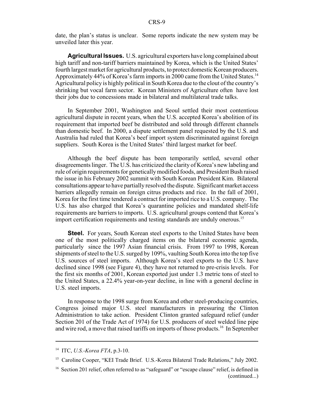date, the plan's status is unclear. Some reports indicate the new system may be unveiled later this year.

**Agricultural Issues.** U.S. agricultural exporters have long complained about high tariff and non-tariff barriers maintained by Korea, which is the United States' fourth largest market for agricultural products, to protect domestic Korean producers. Approximately 44% of Korea's farm imports in 2000 came from the United States.<sup>14</sup> Agricultural policy is highly political in South Korea due to the clout of the country's shrinking but vocal farm sector. Korean Ministers of Agriculture often have lost their jobs due to concessions made in bilateral and multilateral trade talks.

In September 2001, Washington and Seoul settled their most contentious agricultural dispute in recent years, when the U.S. accepted Korea's abolition of its requirement that imported beef be distributed and sold through different channels than domestic beef. In 2000, a dispute settlement panel requested by the U.S. and Australia had ruled that Korea's beef import system discriminated against foreign suppliers. South Korea is the United States' third largest market for beef.

Although the beef dispute has been temporarily settled, several other disagreements linger. The U.S. has criticized the clarity of Korea's new labeling and rule of origin requirements for genetically modified foods, and President Bush raised the issue in his February 2002 summit with South Korean President Kim. Bilateral consultations appear to have partially resolved the dispute. Significant market access barriers allegedly remain on foreign citrus products and rice. In the fall of 2001, Korea for the first time tendered a contract for imported rice to a U.S. company. The U.S. has also charged that Korea's quarantine policies and mandated shelf-life requirements are barriers to imports. U.S. agricultural groups contend that Korea's import certification requirements and testing standards are unduly onerous.<sup>15</sup>

**Steel.** For years, South Korean steel exports to the United States have been one of the most politically charged items on the bilateral economic agenda, particularly since the 1997 Asian financial crisis. From 1997 to 1998, Korean shipments of steel to the U.S. surged by 109%, vaulting South Korea into the top five U.S. sources of steel imports. Although Korea's steel exports to the U.S. have declined since 1998 (see Figure 4), they have not returned to pre-crisis levels. For the first six months of 2001, Korean exported just under 1.3 metric tons of steel to the United States, a 22.4% year-on-year decline, in line with a general decline in U.S. steel imports.

In response to the 1998 surge from Korea and other steel-producing countries, Congress joined major U.S. steel manufacturers in pressuring the Clinton Administration to take action. President Clinton granted safeguard relief (under Section 201 of the Trade Act of 1974) for U.S. producers of steel welded line pipe and wire rod, a move that raised tariffs on imports of those products.<sup>16</sup> In September

<sup>14</sup> ITC, *U.S.-Korea FTA*, p.3-10.

<sup>&</sup>lt;sup>15</sup> Caroline Cooper, "KEI Trade Brief. U.S.-Korea Bilateral Trade Relations," July 2002.

<sup>&</sup>lt;sup>16</sup> Section 201 relief, often referred to as "safeguard" or "escape clause" relief, is defined in (continued...)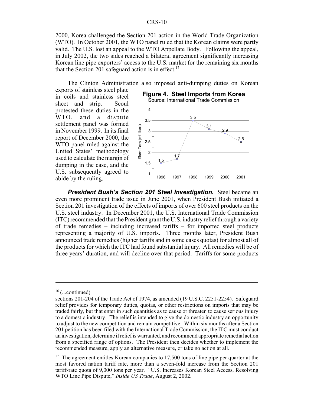2000, Korea challenged the Section 201 action in the World Trade Organization (WTO). In October 2001, the WTO panel ruled that the Korean claims were partly valid. The U.S. lost an appeal to the WTO Appellate Body. Following the appeal, in July 2002, the two sides reached a bilateral agreement significantly increasing Korean line pipe exporters' access to the U.S. market for the remaining six months that the Section 201 safeguard action is in effect.<sup>17</sup>

The Clinton Administration also imposed anti-dumping duties on Korean

exports of stainless steel plate in coils and stainless steel sheet and strip. Seoul protested these duties in the WTO, and a dispute settlement panel was formed in November 1999. In its final report of December 2000, the WTO panel ruled against the United States' methodology used to calculate the margin of dumping in the case, and the U.S. subsequently agreed to abide by the ruling.



Source: International Trade Commission



**President Bush's Section 201 Steel Investigation.** Steel became an even more prominent trade issue in June 2001, when President Bush initiated a Section 201 investigation of the effects of imports of over 600 steel products on the U.S. steel industry. In December 2001, the U.S. International Trade Commission (ITC) recommended that the President grant the U.S. industry relief through a variety of trade remedies – including increased tariffs – for imported steel products representing a majority of U.S. imports. Three months later, President Bush announced trade remedies (higher tariffs and in some cases quotas) for almost all of the products for which the ITC had found substantial injury. All remedies will be of three years' duration, and will decline over that period. Tariffs for some products

 $16$  (...continued)

sections 201-204 of the Trade Act of 1974, as amended (19 U.S.C. 2251-2254). Safeguard relief provides for temporary duties, quotas, or other restrictions on imports that may be traded fairly, but that enter in such quantities as to cause or threaten to cause serious injury to a domestic industry. The relief is intended to give the domestic industry an opportunity to adjust to the new competition and remain competitive. Within six months after a Section 201 petition has been filed with the International Trade Commission, the ITC must conduct an investigation, determine if relief is warranted, and recommend appropriate remedial action from a specified range of options. The President then decides whether to implement the recommended measure, apply an alternative measure, or take no action at all.

 $17$  The agreement entitles Korean companies to 17,500 tons of line pipe per quarter at the most favored nation tariff rate, more than a seven-fold increase from the Section 201 tariff-rate quota of 9,000 tons per year. "U.S. Increases Korean Steel Access, Resolving WTO Line Pipe Dispute," *Inside US Trade*, August 2, 2002.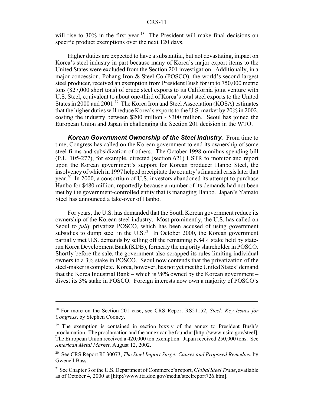will rise to 30% in the first year.<sup>18</sup> The President will make final decisions on specific product exemptions over the next 120 days.

Higher duties are expected to have a substantial, but not devastating, impact on Korea's steel industry in part because many of Korea's major export items to the United States were excluded from the Section 201 investigation. Additionally, in a major concession, Pohang Iron & Steel Co (POSCO), the world's second-largest steel producer, received an exemption from President Bush for up to 750,000 metric tons (827,000 short tons) of crude steel exports to its California joint venture with U.S. Steel, equivalent to about one-third of Korea's total steel exports to the United States in 2000 and 2001.<sup>19</sup> The Korea Iron and Steel Association (KOSA) estimates that the higher duties will reduce Korea's exports to the U.S. market by 20% in 2002, costing the industry between \$200 million - \$300 million. Seoul has joined the European Union and Japan in challenging the Section 201 decision in the WTO.

*Korean Government Ownership of the Steel Industry.* From time to time, Congress has called on the Korean government to end its ownership of some steel firms and subsidization of others. The October 1998 omnibus spending bill (P.L. 105-277), for example, directed (section 621) USTR to monitor and report upon the Korean government's support for Korean producer Hanbo Steel, the insolvency of which in 1997 helped precipitate the country's financial crisis later that year.20 In 2000, a consortium of U.S. investors abandoned its attempt to purchase Hanbo for \$480 million, reportedly because a number of its demands had not been met by the government-controlled entity that is managing Hanbo. Japan's Yamato Steel has announced a take-over of Hanbo.

For years, the U.S. has demanded that the South Korean government reduce its ownership of the Korean steel industry. Most prominently, the U.S. has called on Seoul to *fully* privatize POSCO, which has been accused of using government subsidies to dump steel in the  $U.S.<sup>21</sup>$  In October 2000, the Korean government partially met U.S. demands by selling off the remaining 6.84% stake held by staterun Korea Development Bank (KDB), formerly the majority shareholder in POSCO. Shortly before the sale, the government also scrapped its rules limiting individual owners to a 3% stake in POSCO. Seoul now contends that the privatization of the steel-maker is complete. Korea, however, has not yet met the United States' demand that the Korea Industrial Bank – which is 98% owned by the Korean government – divest its 3% stake in POSCO. Foreign interests now own a majority of POSCO's

<sup>18</sup> For more on the Section 201 case, see CRS Report RS21152, *Steel: Key Issues for Congress*, by Stephen Cooney.

<sup>&</sup>lt;sup>19</sup> The exemption is contained in section b:xxiv of the annex to President Bush's proclamation. The proclamation and the annex can be found at [http://www.usitc.gov/steel]. The European Union received a 420,000 ton exemption. Japan received 250,000 tons. See *American Metal Market*, August 12, 2002.

<sup>20</sup> See CRS Report RL30073, *The Steel Import Surge: Causes and Proposed Remedies*, by Gwenell Bass.

<sup>21</sup> See Chapter 3 of the U.S. Department of Commerce's report, *Global Steel Trade*, available as of October 4, 2000 at [http://www.ita.doc.gov/media/steelreport726.htm].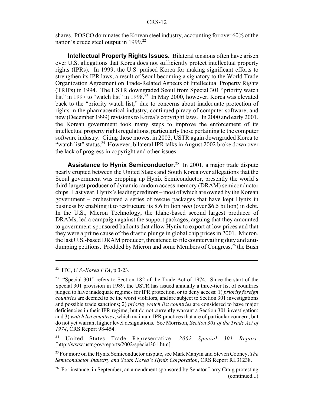shares. POSCO dominates the Korean steel industry, accounting for over 60% of the nation's crude steel output in 1999.<sup>22</sup>

**Intellectual Property Rights Issues.** Bilateral tensions often have arisen over U.S. allegations that Korea does not sufficiently protect intellectual property rights (IPRs). In 1999, the U.S. praised Korea for making significant efforts to strengthen its IPR laws, a result of Seoul becoming a signatory to the World Trade Organization Agreement on Trade-Related Aspects of Intellectual Property Rights (TRIPs) in 1994. The USTR downgraded Seoul from Special 301 "priority watch list" in 1997 to "watch list" in 1998.<sup>23</sup> In May 2000, however, Korea was elevated back to the "priority watch list," due to concerns about inadequate protection of rights in the pharmaceutical industry, continued piracy of computer software, and new (December 1999) revisions to Korea's copyright laws. In 2000 and early 2001, the Korean government took many steps to improve the enforcement of its intellectual property rights regulations, particularly those pertaining to the computer software industry. Citing these moves, in 2002, USTR again downgraded Korea to "watch list" status.<sup>24</sup> However, bilateral IPR talks in August 2002 broke down over the lack of progress in copyright and other issues.

**Assistance to Hynix Semiconductor.**<sup>25</sup> In 2001, a major trade dispute nearly erupted between the United States and South Korea over allegations that the Seoul government was propping up Hynix Semiconductor, presently the world's third-largest producer of dynamic random access memory (DRAM) semiconductor chips. Last year, Hynix's leading creditors – most of which are owned by the Korean government – orchestrated a series of rescue packages that have kept Hynix in business by enabling it to restructure its 8.6 trillion *won* (over \$6.5 billion) in debt. In the U.S., Micron Technology, the Idaho-based second largest producer of DRAMs, led a campaign against the support packages, arguing that they amounted to government-sponsored bailouts that allow Hynix to export at low prices and that they were a prime cause of the drastic plunge in global chip prices in 2001. Micron, the last U.S.-based DRAM producer, threatened to file countervailing duty and antidumping petitions. Prodded by Micron and some Members of Congress,<sup>26</sup> the Bush

24 United States Trade Representative, *2002 Special 301 Report*, [http://www.ustr.gov/reports/2002/special301.htm].

<sup>22</sup> ITC, *U.S.-Korea FTA*, p.3-23.

<sup>&</sup>lt;sup>23</sup> "Special 301" refers to Section 182 of the Trade Act of 1974. Since the start of the Special 301 provision in 1989, the USTR has issued annually a three-tier list of countries judged to have inadequate regimes for IPR protection, or to deny access: 1) *priority foreign countries* are deemed to be the worst violators, and are subject to Section 301 investigations and possible trade sanctions; 2) *priority watch list countries* are considered to have major deficiencies in their IPR regime, but do not currently warrant a Section 301 investigation; and 3) *watch list countries*, which maintain IPR practices that are of particular concern, but do not yet warrant higher level designations. See Morrison, *Section 301 of the Trade Act of 1974*, CRS Report 98-454.

<sup>25</sup> For more on the Hynix Semiconductor dispute, see Mark Manyin and Steven Cooney, *The Semiconductor Industry and South Korea's Hynix Corporation*, CRS Report RL31238.

<sup>&</sup>lt;sup>26</sup> For instance, in September, an amendment sponsored by Senator Larry Craig protesting (continued...)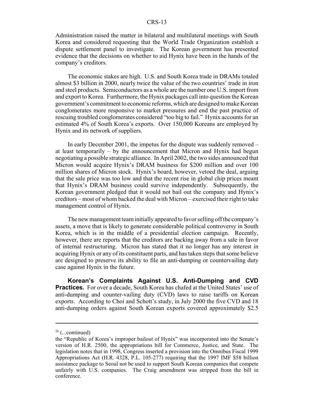Administration raised the matter in bilateral and multilateral meetings with South Korea and considered requesting that the World Trade Organization establish a dispute settlement panel to investigate. The Korean government has presented evidence that the decisions on whether to aid Hynix have been in the hands of the company's creditors.

The economic stakes are high. U.S. and South Korea trade in DRAMs totaled almost \$3 billion in 2000, nearly twice the value of the two countries' trade in iron and steel products. Semiconductors as a whole are the number one U.S. import from and export to Korea. Furthermore, the Hynix packages call into question the Korean government's commitment to economic reforms, which are designed to make Korean conglomerates more responsive to market pressures and end the past practice of rescuing troubled conglomerates considered "too big to fail." Hynix accounts for an estimated 4% of South Korea's exports. Over 150,000 Koreans are employed by Hynix and its network of suppliers.

In early December 2001, the impetus for the dispute was suddenly removed – at least temporarily – by the announcement that Micron and Hynix had begun negotiating a possible strategic alliance. In April 2002, the two sides announced that Micron would acquire Hynix's DRAM business for \$200 million and over 100 million shares of Micron stock. Hynix's board, however, vetoed the deal, arguing that the sale price was too low and that the recent rise in global chip prices meant that Hynix's DRAM business could survive independently. Subsequently, the Korean government pledged that it would not bail out the company and Hynix's creditors – most of whom backed the deal with Micron – exercised their right to take management control of Hynix.

The new management team initially appeared to favor selling off the company's assets, a move that is likely to generate considerable political controversy in South Korea, which is in the middle of a presidential election campaign. Recently, however, there are reports that the creditors are backing away from a sale in favor of internal restructuring. Micron has stated that it no longer has any interest in acquiring Hynix or any of its constituent parts, and has taken steps that some believe are designed to preserve its ability to file an anti-dumping or countervailing duty case against Hynix in the future.

**Korean's Complaints Against U.S. Anti-Dumping and CVD Practices.** For over a decade, South Korea has chafed at the United States' use of anti-dumping and counter-vailing duty (CVD) laws to raise tariffs on Korean exports. According to Choi and Schott's study, in July 2000 the five CVD and 18 anti-dumping orders against South Korean exports covered approximately \$2.5

 $26$  (...continued)

the "Republic of Korea's improper bailout of Hynix" was incorporated into the Senate's version of H.R. 2500, the appropriations bill for Commerce, Justice, and State. The legislation notes that in 1998, Congress inserted a provision into the Omnibus Fiscal 1999 Appropriations Act (H.R. 4328, P.L. 105-277) requiring that the 1997 IMF \$58 billion assistance package to Seoul not be used to support South Korean companies that compete unfairly with U.S. companies. The Craig amendment was stripped from the bill in conference.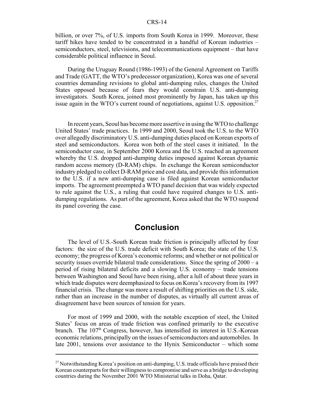billion, or over 7%, of U.S. imports from South Korea in 1999. Moreover, these tariff hikes have tended to be concentrated in a handful of Korean industries – semiconductors, steel, televisions, and telecommunications equipment – that have considerable political influence in Seoul.

During the Uruguay Round (1986-1993) of the General Agreement on Tariffs and Trade (GATT, the WTO's predecessor organization), Korea was one of several countries demanding revisions to global anti-dumping rules, changes the United States opposed because of fears they would constrain U.S. anti-dumping investigators. South Korea, joined most prominently by Japan, has taken up this issue again in the WTO's current round of negotiations, against U.S. opposition.<sup>27</sup>

In recent years, Seoul has become more assertive in using the WTO to challenge United States' trade practices. In 1999 and 2000, Seoul took the U.S. to the WTO over allegedly discriminatory U.S. anti-dumping duties placed on Korean exports of steel and semiconductors. Korea won both of the steel cases it initiated. In the semiconductor case, in September 2000 Korea and the U.S. reached an agreement whereby the U.S. dropped anti-dumping duties imposed against Korean dynamic random access memory (D-RAM) chips. In exchange the Korean semiconductor industry pledged to collect D-RAM price and cost data, and provide this information to the U.S. if a new anti-dumping case is filed against Korean semiconductor imports. The agreement preempted a WTO panel decision that was widely expected to rule against the U.S., a ruling that could have required changes to U.S. antidumping regulations. As part of the agreement, Korea asked that the WTO suspend its panel covering the case.

#### **Conclusion**

The level of U.S.-South Korean trade friction is principally affected by four factors: the size of the U.S. trade deficit with South Korea; the state of the U.S. economy; the progress of Korea's economic reforms; and whether or not political or security issues override bilateral trade considerations. Since the spring of 2000 – a period of rising bilateral deficits and a slowing U.S. economy – trade tensions between Washington and Seoul have been rising, after a lull of about three years in which trade disputes were deemphasized to focus on Korea's recovery from its 1997 financial crisis. The change was more a result of shifting priorities on the U.S. side, rather than an increase in the number of disputes, as virtually all current areas of disagreement have been sources of tension for years.

For most of 1999 and 2000, with the notable exception of steel, the United States' focus on areas of trade friction was confined primarily to the executive branch. The  $107<sup>th</sup>$  Congress, however, has intensified its interest in U.S.-Korean economic relations, principally on the issues of semiconductors and automobiles. In late 2001, tensions over assistance to the Hynix Semiconductor – which some

<sup>&</sup>lt;sup>27</sup> Notwithstanding Korea's position on anti-dumping, U.S. trade officials have praised their Korean counterparts for their willingness to compromise and serve as a bridge to developing countries during the November 2001 WTO Ministerial talks in Doha, Qatar.